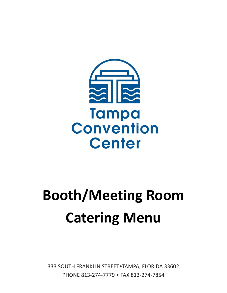

# **Booth/Meeting Room Catering Menu**

333 SOUTH FRANKLIN STREET•TAMPA, FLORIDA 33602 PHONE 813-274-7779 • FAX 813-274-7854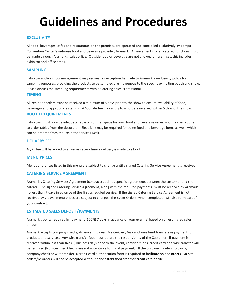## **Guidelines and Procedures**

### **EXCLUSIVITY**

All food, beverages, cafes and restaurants on the premises are operated and controlled **exclusively** by Tampa Convention Center's in-house food and beverage provider, Aramark. Arrangements for all catered functions must be made through Aramark's sales office. Outside food or beverage are not allowed on premises, this includes exhibitor and office areas.

### **SAMPLING**

Exhibitor and/or show management may request an exception be made to Aramark's exclusivity policy for sampling purposes, providing the products to be sampled are indigenous to the specific exhibiting booth and show. Please discuss the sampling requirements with a Catering Sales Professional.

### **TIMING**

All exhibitor orders must be received a minimum of 5 days prior to the show to ensure availability of food, beverages and appropriate staffing. A \$50 late fee may apply to all orders received within 5 days of the show.

### **BOOTH REQUIREMENTS**

Exhibitors must provide adequate table or counter space for your food and beverage order, you may be required to order tables from the decorator. Electricity may be required for some food and beverage items as well, which can be ordered from the Exhibitor Services Desk.

### **DELIVERY FEE**

A \$25 fee will be added to all orders every time a delivery is made to a booth.

### **MENU PRICES**

Menus and prices listed in this menu are subject to change until a signed Catering Service Agreement is received.

### **CATERING SERVICE AGREEMENT**

Aramark's Catering Services Agreement (contract) outlines specific agreements between the customer and the caterer. The signed Catering Service Agreement, along with the required payments, must be received by Aramark no less than 7 days in advance of the first scheduled service. If the signed Catering Service Agreement is not received by 7 days, menu prices are subject to change. The Event Orders, when completed, will also form part of your contract.

### **ESTIMATED SALES DEPOSIT/PAYMENTS**

Aramark's policy requires full payment (100%) 7 days in advance of your event(s) based on an estimated sales amount.

Aramark accepts company checks, American Express, MasterCard, Visa and wire fund transfers as payment for products and services. Any wire transfer fees incurred are the responsibility of the Customer. If payment is received within less than five (5) business days prior to the event, certified funds, credit card or a wire transfer will be required (Non-certified Checks are not acceptable forms of payment). If the customer prefers to pay by company check or wire transfer, a credit card authorization form is required to facilitate on-site orders. On-site orders/re-orders will not be accepted without prior established credit or credit card on file.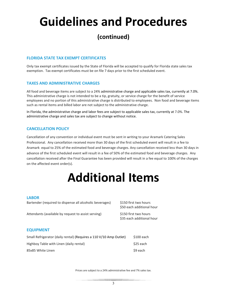## **Guidelines and Procedures**

### **(continued)**

### **FLORIDA STATE TAX EXEMPT CERTIFICATES**

Only tax exempt certificates issued by the State of Florida will be accepted to qualify for Florida state sales tax exemption. Tax exempt certificates must be on file 7 days prior to the first scheduled event.

### **TAXES AND ADMINISTRATIVE CHARGES**

All food and beverage items are subject to a 24% administrative charge and applicable sales tax, currently at 7.0%. This administrative charge is not intended to be a tip, gratuity, or service charge for the benefit of service employees and no portion of this administrative charge is distributed to employees. Non food and beverage items such as rental items and billed labor are not subject to the administrative charge.

In Florida, the administrative charge and labor fees are subject to applicable sales tax, currently at 7.0%. The administrative charge and sales tax are subject to change without notice.

### **CANCELLATION POLICY**

Cancellation of any convention or individual event must be sent in writing to your Aramark Catering Sales Professional. Any cancellation received more than 30 days of the first scheduled event will result in a fee to Aramark equal to 25% of the estimated food and beverage charges. Any cancellation received less than 30 days in advance of the first scheduled event will result in a fee of 50% of the estimated food and beverage charges. Any cancellation received after the Final Guarantee has been provided will result in a fee equal to 100% of the charges on the affected event order(s).

### **Additional Items**

#### **LABOR**

| Bartender (required to dispense all alcoholic beverages) | \$150 first two hours<br>\$50 each additional hour |
|----------------------------------------------------------|----------------------------------------------------|
| Attendants (available by request to assist serving)      | \$150 first two hours<br>\$35 each additional hour |
| <b>EQUIPMENT</b>                                         |                                                    |

### Small Refrigerator (daily rental) (Requires a 110 V/10 Amp Outlet) \$100 each Highboy Table with Linen (daily rental)  $\angle$  525 each 85x85 White Linen \$9 each

Prices are subject to a 24% administrative fee and 7% sales tax.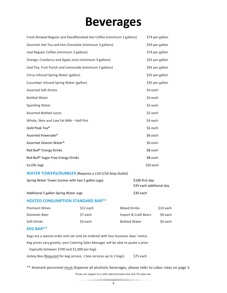### **Beverages**

| Fresh Brewed Regular and Decaffeinated Hot Coffee (minimum 3 gallons) | \$74 per gallon |
|-----------------------------------------------------------------------|-----------------|
| Gourmet Hot Tea and Hot Chocolate (minimum 3 gallons)                 | \$59 per gallon |
| Iced Regular Coffee (minimum 3 gallons)                               | \$74 per gallon |
| Orange, Cranberry and Apple Juice (minimum 3 gallons)                 | \$55 per gallon |
| Iced Tea, Fruit Punch and Lemonade (minimum 3 gallons)                | \$45 per gallon |
| Citrus Infused Spring Water (gallon)                                  | \$35 per gallon |
| Cucumber Infused Spring Water (gallon)                                | \$35 per gallon |
| <b>Assorted Soft Drinks</b>                                           | \$4 each        |
| <b>Bottled Water</b>                                                  | \$4 each        |
| Sparkling Water                                                       | \$5 each        |
| <b>Assorted Bottled Juices</b>                                        | \$5 each        |
| Whole, Skim and Low Fat Milk - Half Pint                              | \$4 each        |
| Gold Peak Tea®                                                        | \$6 each        |
| Assorted Powerade®                                                    | \$6 each        |
| Assorted Vitamin Water®                                               | \$6 each        |
| Red Bull® Energy Drinks                                               | \$8 each        |
| Red Bull® Sugar Free Energy Drinks                                    | \$8 each        |
| Ice (5lb. bag)                                                        | \$10 each       |
| <b>WATER TOWERS/BUBBLER</b> (Requires a 110 V/10 Amp Outlet)          |                 |
| Spring Water Tower (comes with two 5 gallon jugs)                     | \$100 first day |

Additional 5 gallon Spring Water Jugs **\$30 each** \$30 each

\$35 each additional day

### **HOSTED CONSUMPTION STANDARD BAR\*\***

| <b>Premium Wines</b> | S <sub>12</sub> each | Mixed Drinks         | S10 each |
|----------------------|----------------------|----------------------|----------|
| Domestic Beer        | S7 each              | Import & Craft Beers | S8 each  |
| Soft Drinks          | S4 each              | <b>Bottled Water</b> | S4 each  |

### **KEG BAR\*\***

Kegs are a special order and can only be ordered with four business days' notice.

Keg prices vary greatly, your Catering Sales Manager will be able to quote a price

(typically between \$700 and \$1,000 per keg).

Jockey Box (Required for keg service, 1 box services up to 2 kegs) \$75 each

\*\* Aramark personnel **must dispense all alcoholic beverages**, please refer to Labor rates on page 3. Prices are subject to a 24% administrative fee and 7% sales tax.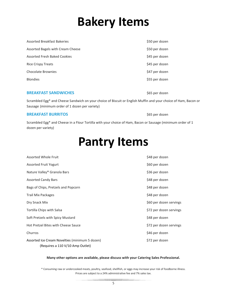## **Bakery Items**

| <b>Assorted Breakfast Bakeries</b>  | \$50 per dozen |
|-------------------------------------|----------------|
| Assorted Bagels with Cream Cheese   | \$50 per dozen |
| <b>Assorted Fresh Baked Cookies</b> | \$45 per dozen |
| <b>Rice Crispy Treats</b>           | \$45 per dozen |
| Chocolate Brownies                  | \$47 per dozen |
| <b>Blondies</b>                     | \$55 per dozen |
|                                     |                |

### **BREAKFAST SANDWICHES 865 per dozen**

Scrambled Egg\* and Cheese Sandwich on your choice of Biscuit or English Muffin and your choice of Ham, Bacon or Sausage (minimum order of 1 dozen per variety)

#### **BREAKFAST BURRITOS black of the state of the state of the state of the state of the state of the state of the state of the state of the state of the state of the state of the state of the state of the state of the state**

Scrambled Egg\* and Cheese in a Flour Tortilla with your choice of Ham, Bacon or Sausage (minimum order of 1 dozen per variety)

### **Pantry Items**

| Assorted Whole Fruit                                                               | \$48 per dozen          |
|------------------------------------------------------------------------------------|-------------------------|
| <b>Assorted Fruit Yogurt</b>                                                       | \$60 per dozen          |
| Nature Valley <sup>®</sup> Granola Bars                                            | \$36 per dozen          |
| <b>Assorted Candy Bars</b>                                                         | \$48 per dozen          |
| Bags of Chips, Pretzels and Popcorn                                                | \$48 per dozen          |
| Trail Mix Packages                                                                 | \$48 per dozen          |
| Dry Snack Mix                                                                      | \$60 per dozen servings |
| Tortilla Chips with Salsa                                                          | \$72 per dozen servings |
| Soft Pretzels with Spicy Mustard                                                   | \$48 per dozen          |
| Hot Pretzel Bites with Cheese Sauce                                                | \$72 per dozen servings |
| Churros                                                                            | \$46 per dozen          |
| Assorted Ice Cream Novelties (minimum 5 dozen)<br>(Requires a 110 V/10 Amp Outlet) | \$72 per dozen          |

#### **Many other options are available, please discuss with your Catering Sales Professional.**

\* Consuming raw or undercooked meats, poultry, seafood, shellfish, or eggs may increase your risk of foodborne illness. Prices are subject to a 24% administrative fee and 7% sales tax.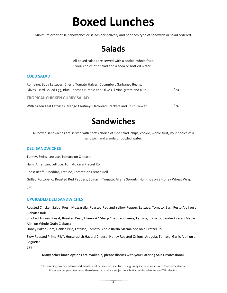### **Boxed Lunches**

Minimum order of 10 sandwiches or salads per delivery and per each type of sandwich or salad ordered.

### **Salads**

All boxed salads are served with a cookie, whole fruit, your choice of a salad and a soda or bottled water.

### **COBB SALAD**

| Romaine, Baby Lettuces, Cherry Tomato Halves, Cucumber, Garbanzo Beans,           |             |
|-----------------------------------------------------------------------------------|-------------|
| Olives, Hard Boiled Egg, Blue Cheese Crumble and Olive Oil Vinaigrette and a Roll | <b>S24</b>  |
| <b>TROPICAL CHICKEN CURRY SALAD</b>                                               |             |
| With Green Leaf Lettuces, Mango Chutney, Flatbread Crackers and Fruit Skewer      | <b>\$26</b> |

### **Sandwiches**

All boxed sandwiches are served with chef's choice of side salad, chips, cookie, whole fruit, your choice of a sandwich and a soda or bottled water.

### **DELI SANDWICHES**

Turkey, Swiss, Lettuce, Tomato on Ciabatta

Ham, American, Lettuce, Tomato on a Pretzel Roll

Roast Beef\*, Cheddar, Lettuce, Tomato on French Roll

Grilled Portobello, Roasted Red Peppers, Spinach, Tomato, Alfalfa Sprouts, Hummus on a Honey Wheat Wrap

\$26

### **UPGRADED DELI SANDWICHES**

Roasted Chicken Salad, Fresh Mozzarella, Roasted Red and Yellow Pepper, Lettuce, Tomato, Basil Pesto Aioli on a Ciabatta Roll

Smoked Turkey Breast, Roasted Pear, Tilamook® Sharp Cheddar Cheese, Lettuce, Tomato, Candied Pecan Maple Aioli on Whole Grain Ciabatta

Honey Baked Ham, Danish Brie, Lettuce, Tomato, Apple Raisin Marmalade on a Pretzel Roll

Slow Roasted Prime Rib\*, Horseradish Havarti Cheese, Honey Roasted Onions, Arugula, Tomato, Garlic Aioli on a Baguette

\$28

#### **Many other lunch options are available, please discuss with your Catering Sales Professional.**

\* Consuming raw or undercooked meats, poultry, seafood, shellfish, or eggs may increase your risk of foodborne illness. Prices are per person unless otherwise noted and are subject to a 24% administrative fee and 7% sales tax.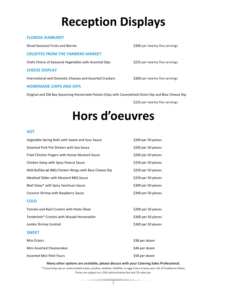## **Reception Displays**

### **FLORIDA SUNBURST**

Sliced Seasonal Fruits and Berries **\$300** per twenty five servings

#### **CRUDITES FROM THE FARMERS MARKET**

Chefs Choice of Seasonal Vegetables with Assorted Dips \$225 per twenty five servings

#### **CHEESE DISPLAY**

International and Domestic Cheeses and Assorted Crackers \$300 per twenty five servings

### **HOMEMADE CHIPS AND DIPS**

Original and Old Bay Seasoning Homemade Potato Chips with Caramelized Onion Dip and Blue Cheese Dip

\$225 per twenty five servings

## **Hors d'oeuvres**

#### **HOT**

| Vegetable Spring Rolls with Sweet and Sour Sauce       | \$200 per 50 pieces |
|--------------------------------------------------------|---------------------|
| Steamed Pork Pot Stickers with Soy Sauce               | \$200 per 50 pieces |
| Fried Chicken Fingers with Honey Mustard Sauce         | \$200 per 50 pieces |
| Chicken Satay with Spicy Peanut Sauce                  | \$250 per 50 pieces |
| Mild Buffalo or BBQ Chicken Wings with Blue Cheese Dip | \$250 per 50 pieces |
| Meatloaf Slider with Mustard BBQ Sauce                 | \$250 per 50 pieces |
| Beef Satay* with Spicy Szechuan Sauce                  | \$300 per 50 pieces |
| Coconut Shrimp with Raspberry Sauce                    | \$300 per 50 pieces |
| <b>COLD</b>                                            |                     |
| Tomato and Basil Crostini with Pesto Glaze             | \$200 per 50 pieces |
| Tenderloin* Crostini with Wasabi Horseradish           | \$300 per 50 pieces |
| Jumbo Shrimp Cocktail                                  | \$300 per 50 pieces |
| <b>SWEET</b>                                           |                     |
| Mini Éclairs                                           | \$38 per dozen      |
| Mini Assorted Cheesecakes                              | \$46 per dozen      |
| <b>Assorted Mini Petit Fours</b>                       | \$58 per dozen      |

#### **Many other options are available, please discuss with your Catering Sales Professional.**

\* Consuming raw or undercooked meats, poultry, seafood, shellfish, or eggs may increase your risk of foodborne illness. Prices are subject to a 24% administrative fee and 7% sales tax.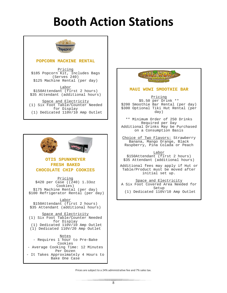### **Booth Action Stations**



### **POPCORN MACHINE RENTAL**

Pricing \$185 Popcorn Kit, Includes Bags (Serves 240) \$125 Machine Rental (per day)

**Labor** \$150Attendant (first 2 hours) \$35 Attendant (additional hours)

Space and Electricity (1) Six Foot Table/Counter Needed for Display (1) Dedicated 110V/10 Amp Outlet



- Requires 1 hour to Pre-Bake Cookies - Average Cooking Time: 12 Minutes Per Dozen - It Takes Approximately 4 Hours to Bake One Case



#### **MAUI WOWI SMOOTHIE BAR**

Pricing \$5.50 per Drink \*\* \$200 Smoothie Bar Rental (per day) \$300 Optional Tiki Hut Rental (per day)

\*\* Minimum Order of 250 Drinks Required per Day Additional Drinks May be Purchased on a Consumption Basis

Choice of Two Flavors: Strawberry Banana, Mango Orange, Black Raspberry, Pina Colada or Peach

Labor \$150Attendant (first 2 hours) \$35 Attendant (additional hours)

Additional fees may apply if Hut or Table/Product must be moved after initial set up.

Space and Electricity A Six Foot Covered Area Needed for Setup (1) Dedicated 110V/10 Amp Outlet

Prices are subject to a 24% administrative fee and 7% sales tax.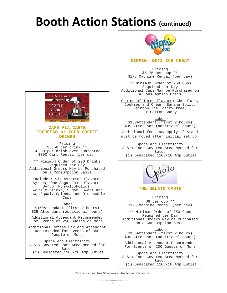### **Booth Action Stations (continued)**



### **CAFÉ ALA CARTE ESPRESSO or ICED COFFEE DRINKS**

Pricing \$5.50 per drink \*\* \$6.00 per drink over guarantee \$350 Cart Rental (per day)

\*\* Minimum Order of 200 Drinks Required per Day Additional Orders May be Purchased on a Consumption Basis

Includes: Six Assorted Flavored Syrups, One Sugar Free Flavored<br>Syrup (Non-alcoholic), Swizzle Sticks, Sugar, Sweet and Low, Equal, Splenda and Disposable Cups

Labor \$150Attendant (first 2 hours) \$35 Attendant (additional hours)

Additional Attendant Recommended For Events of 250 Guests or More

Additional Coffee Bar and Attendant Recommended for Events of 350 People or More

Space and Electricity A Six Covered Foot Area Needed for Setup

(1) Dedicated 110V/20 Amp Outlet



### **DIPPIN' DOTS ICE CREAM**

Pricing \$6.75 per cup \*\* \$175 Machine Rental (per day)

\*\* Minimum Order of 250 Cups Required per Day Additional Cups May be Purchased on a Consumption Basis

Choice of Three Flavors: Chocolate, Cookies and Cream, Banana Split, Rainbow Ice (dairy free) or Cotton Candy

Labor \$150Attendant (first 2 hours) \$35 Attendant (additional hours)

Additional fees may apply if Stand must be moved after initial set up.

Space and Electricity A Six Foot Covered Area Needed for Setup (1) Dedicated 110V/10 Amp Outlet



**THE GELATO CARTE**

Pricing \$6 per cup \*\* \$175 Machine Rental (per day)

\*\* Minimum Order of 250 Cups Required per Day Additional Orders May be Purchased on a Consumption Basis

Labor \$150Attendant (first 2 hours) \$35 Attendant (additional hours)

Additional Attendant Recommended For Events of 200 Guests or More

Space and Electricity A Six Foot Covered Area Needed for Setup (1) Dedicated 110V/10 Amp Outlet

Prices are subject to a 24% administrative fee and 7% sales tax.